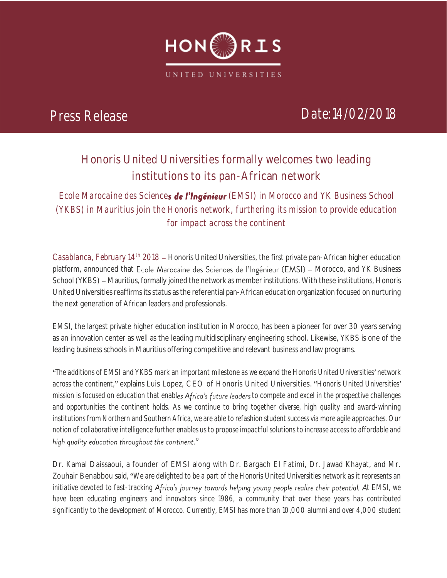

### **Honoris United Universities formally welcomes two leading institutions to its pan-African network**

*Ecole Marocaine des Sciences de l'Ingénieur (EMSI) in Morocco and YK Business School (YKBS) in Mauritius join the Honoris network***,** *furthering its mission to provide education for impact across the continent*

*Casablanca, February* 14<sup>th</sup> 2018 - Honoris United Universities, the first private pan-African higher education platform, announced that Ecole Marocaine des Sciences de l'Ingénieur (EMSI) - Morocco, and YK Business School (YKBS) – Mauritius, formally joined the network as member institutions. With these institutions, Honoris United Universities reaffirms its status as the referential pan-African education organization focused on nurturing the next generation of African leaders and professionals.

EMSI, the largest private higher education institution in Morocco, has been a pioneer for over 30 years serving as an innovation center as well as the leading multidisciplinary engineering school. Likewise, YKBS is one of the leading business schools in Mauritius offering competitive and relevant business and law programs.

*The additions of EMSI and YKBS mark an important milestone as we expand the Honoris United Universities network across the continent,* explains Luis Lopez, CEO of Honoris United Universities. *Honoris United Universities mission is focused on education that enables Africa's future leaders to compete and excel in the prospective challenges and opportunities the continent holds. As we continue to bring together diverse, high quality and award-winning institutions from Northern and Southern Africa, we are able to refashion student success via more agile approaches. Our notion of collaborative intelligence further enables us to propose impactful solutions to increase access to affordable and*  high quality education throughout the continent."

Dr. Kamal Daissaoui, a founder of EMSI along with Dr. Bargach El Fatimi, Dr. Jawad Khayat, and Mr. Zouhair Benabbou said, *We are delighted to be a part of the Honoris United Universities network as it represents an*  initiative devoted to fast-tracking Africa's journey towards helping young people realize their potential. At EMSI, we *have been educating engineers and innovators since 1986, a community that over these years has contributed significantly to the development of Morocco. Currently, EMSI has more than 10,000 alumni and over 4,000 student*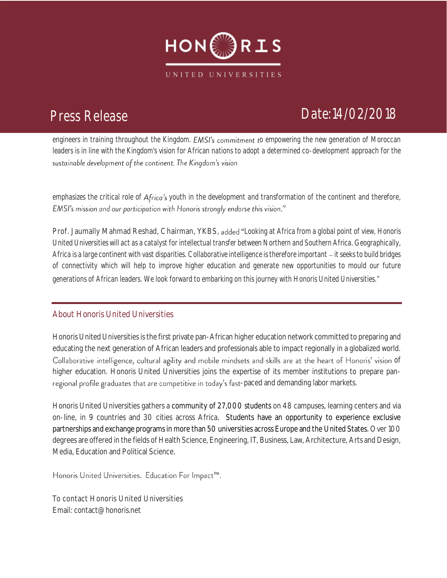

*engineers in training throughout the Kingdom. EMSI's commitment to empowering the new generation of Moroccan leaders is in line with the Kingdom's vision for African nations to adopt a determined co-development approach for the* sustainable development of the continent. The Kingdom's vision

emphasizes the critical role of Africa's youth in the development and transformation of the continent and therefore, EMSI's mission and our participation with Honoris strongly endorse this vision."

Prof. Jaumally Mahmad Reshad, Chairman, YKBS, added "Looking at Africa from a global point of view, Honoris *United Universities will act as a catalyst for intellectual transfer between Northern and Southern Africa. Geographically,*  Africa is a large continent with vast disparities. Collaborative intelligence is therefore important – it seeks to build bridges *of connectivity which will help to improve higher education and generate new opportunities to mould our future generations of African leaders. We look forward to embarking on this journey with Honoris United Universities.*"

### **About Honoris United Universities**

Honoris United Universities is the first private pan-African higher education network committed to preparing and educating the next generation of African leaders and professionals able to impact regionally in a globalized world. Collaborative intelligence, cultural agility and mobile mindsets and skills are at the heart of Honoris' vision Of higher education. Honoris United Universities joins the expertise of its member institutions to prepare pan regional profile graduates that are competitive in today's fast-paced and demanding labor markets.

Honoris United Universities gathers a community of 27,000 students on 48 campuses, learning centers and via on-line, in 9 countries and 30 cities across Africa. Students have an opportunity to experience exclusive partnerships and exchange programs in more than 50 universities across Europe and the United States. Over 100 degrees are offered in the fields of Health Science, Engineering, IT, Business, Law, Architecture, Arts and Design, Media, Education and Political Science.

Honoris United Universities. Education For Impact™.

To contact Honoris United Universities Email[: contact@honoris.net](mailto:contact@honoris.net)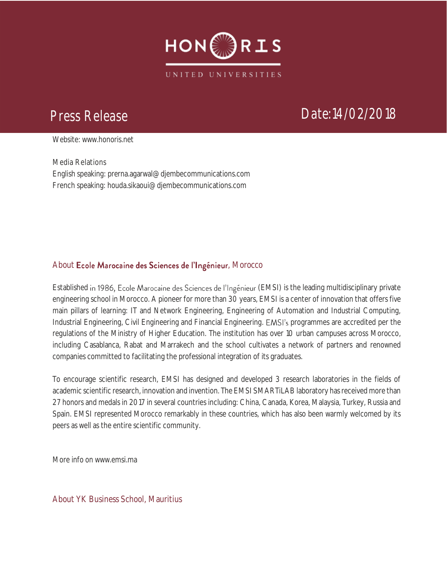

Website[: www.honoris.net](http://www.honoris.net/)

Media Relations English speaking: prerna.agarwal@djembecommunications.com French speaking: houda.sikaoui@djembecommunications.com

### About Ecole Marocaine des Sciences de l'Ingénieur, Morocco

Established in 1986, Ecole Marocaine des Sciences de l'Ingénieur (EMSI) is the leading multidisciplinary private engineering school in Morocco. A pioneer for more than 30 years, EMSI is a center of innovation that offers five main pillars of learning: IT and Network Engineering, Engineering of Automation and Industrial Computing, Industrial Engineering, Civil Engineering and Financial Engineering. EMSI's programmes are accredited per the regulations of the Ministry of Higher Education. The institution has over 10 urban campuses across Morocco, including Casablanca, Rabat and Marrakech and the school cultivates a network of partners and renowned companies committed to facilitating the professional integration of its graduates.

To encourage scientific research, EMSI has designed and developed 3 research laboratories in the fields of academic scientific research, innovation and invention. The EMSI SMARTiLAB laboratory has received more than 27 honors and medals in 2017 in several countries including: China, Canada, Korea, Malaysia, Turkey, Russia and Spain. EMSI represented Morocco remarkably in these countries, which has also been warmly welcomed by its peers as well as the entire scientific community.

More info on [www.emsi.ma](http://www.emsi.ma/)

**About YK Business School, Mauritius**